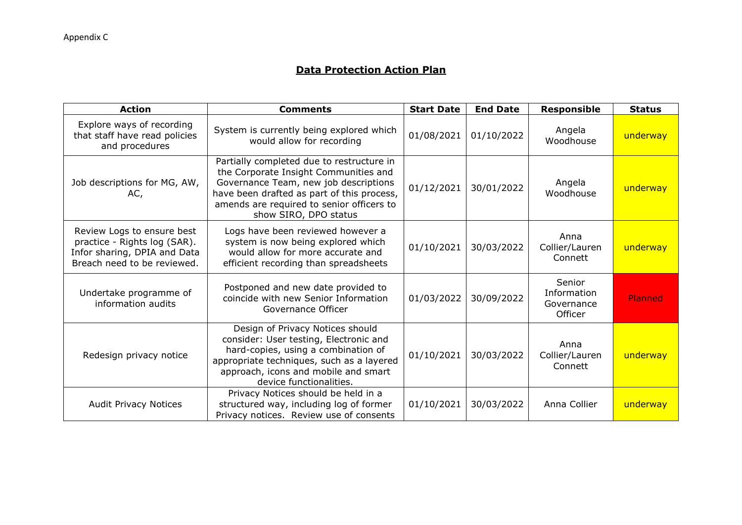## **Data Protection Action Plan**

| <b>Action</b>                                                                                                             | <b>Comments</b>                                                                                                                                                                                                                                 | <b>Start Date</b> | <b>End Date</b> | <b>Responsible</b>                             | <b>Status</b> |
|---------------------------------------------------------------------------------------------------------------------------|-------------------------------------------------------------------------------------------------------------------------------------------------------------------------------------------------------------------------------------------------|-------------------|-----------------|------------------------------------------------|---------------|
| Explore ways of recording<br>that staff have read policies<br>and procedures                                              | System is currently being explored which<br>would allow for recording                                                                                                                                                                           | 01/08/2021        | 01/10/2022      | Angela<br>Woodhouse                            | underway      |
| Job descriptions for MG, AW,<br>AC,                                                                                       | Partially completed due to restructure in<br>the Corporate Insight Communities and<br>Governance Team, new job descriptions<br>have been drafted as part of this process,<br>amends are required to senior officers to<br>show SIRO, DPO status | 01/12/2021        | 30/01/2022      | Angela<br>Woodhouse                            | underway      |
| Review Logs to ensure best<br>practice - Rights log (SAR).<br>Infor sharing, DPIA and Data<br>Breach need to be reviewed. | Logs have been reviewed however a<br>system is now being explored which<br>would allow for more accurate and<br>efficient recording than spreadsheets                                                                                           | 01/10/2021        | 30/03/2022      | Anna<br>Collier/Lauren<br>Connett              | underway      |
| Undertake programme of<br>information audits                                                                              | Postponed and new date provided to<br>coincide with new Senior Information<br>Governance Officer                                                                                                                                                | 01/03/2022        | 30/09/2022      | Senior<br>Information<br>Governance<br>Officer | Planned       |
| Redesign privacy notice                                                                                                   | Design of Privacy Notices should<br>consider: User testing, Electronic and<br>hard-copies, using a combination of<br>appropriate techniques, such as a layered<br>approach, icons and mobile and smart<br>device functionalities.               | 01/10/2021        | 30/03/2022      | Anna<br>Collier/Lauren<br>Connett              | underway      |
| <b>Audit Privacy Notices</b>                                                                                              | Privacy Notices should be held in a<br>structured way, including log of former<br>Privacy notices. Review use of consents                                                                                                                       | 01/10/2021        | 30/03/2022      | Anna Collier                                   | underway      |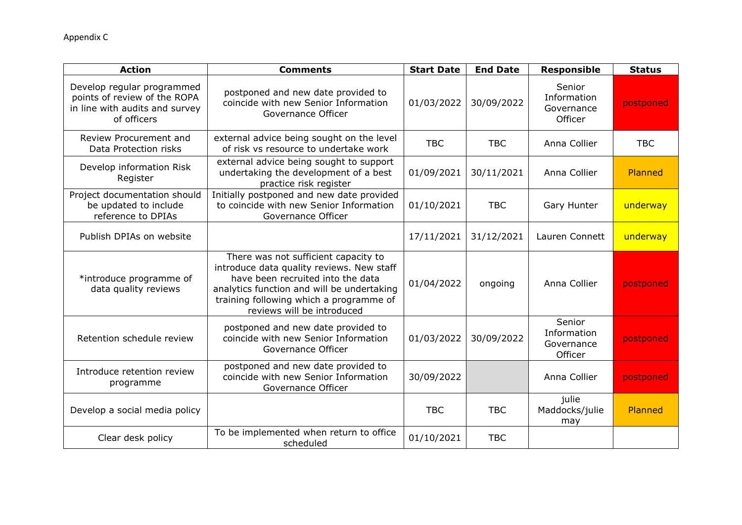| <b>Action</b>                                                                                               | <b>Comments</b>                                                                                                                                                                                                                               | <b>Start Date</b> | <b>End Date</b> | <b>Responsible</b>                             | <b>Status</b> |
|-------------------------------------------------------------------------------------------------------------|-----------------------------------------------------------------------------------------------------------------------------------------------------------------------------------------------------------------------------------------------|-------------------|-----------------|------------------------------------------------|---------------|
| Develop regular programmed<br>points of review of the ROPA<br>in line with audits and survey<br>of officers | postponed and new date provided to<br>coincide with new Senior Information<br>Governance Officer                                                                                                                                              | 01/03/2022        | 30/09/2022      | Senior<br>Information<br>Governance<br>Officer | postponed     |
| Review Procurement and<br>Data Protection risks                                                             | external advice being sought on the level<br>of risk vs resource to undertake work                                                                                                                                                            | <b>TBC</b>        | <b>TBC</b>      | Anna Collier                                   | <b>TBC</b>    |
| Develop information Risk<br>Register                                                                        | external advice being sought to support<br>undertaking the development of a best<br>practice risk register                                                                                                                                    | 01/09/2021        | 30/11/2021      | Anna Collier                                   | Planned       |
| Project documentation should<br>be updated to include<br>reference to DPIAs                                 | Initially postponed and new date provided<br>to coincide with new Senior Information<br>Governance Officer                                                                                                                                    | 01/10/2021        | <b>TBC</b>      | Gary Hunter                                    | underway      |
| Publish DPIAs on website                                                                                    |                                                                                                                                                                                                                                               | 17/11/2021        | 31/12/2021      | Lauren Connett                                 | underway      |
| *introduce programme of<br>data quality reviews                                                             | There was not sufficient capacity to<br>introduce data quality reviews. New staff<br>have been recruited into the data<br>analytics function and will be undertaking<br>training following which a programme of<br>reviews will be introduced | 01/04/2022        | ongoing         | Anna Collier                                   | postponed     |
| Retention schedule review                                                                                   | postponed and new date provided to<br>coincide with new Senior Information<br>Governance Officer                                                                                                                                              | 01/03/2022        | 30/09/2022      | Senior<br>Information<br>Governance<br>Officer | postponed     |
| Introduce retention review<br>programme                                                                     | postponed and new date provided to<br>coincide with new Senior Information<br>Governance Officer                                                                                                                                              | 30/09/2022        |                 | Anna Collier                                   | postponed     |
| Develop a social media policy                                                                               |                                                                                                                                                                                                                                               | <b>TBC</b>        | <b>TBC</b>      | julie<br>Maddocks/julie<br>may                 | Planned       |
| Clear desk policy                                                                                           | To be implemented when return to office<br>scheduled                                                                                                                                                                                          | 01/10/2021        | <b>TBC</b>      |                                                |               |